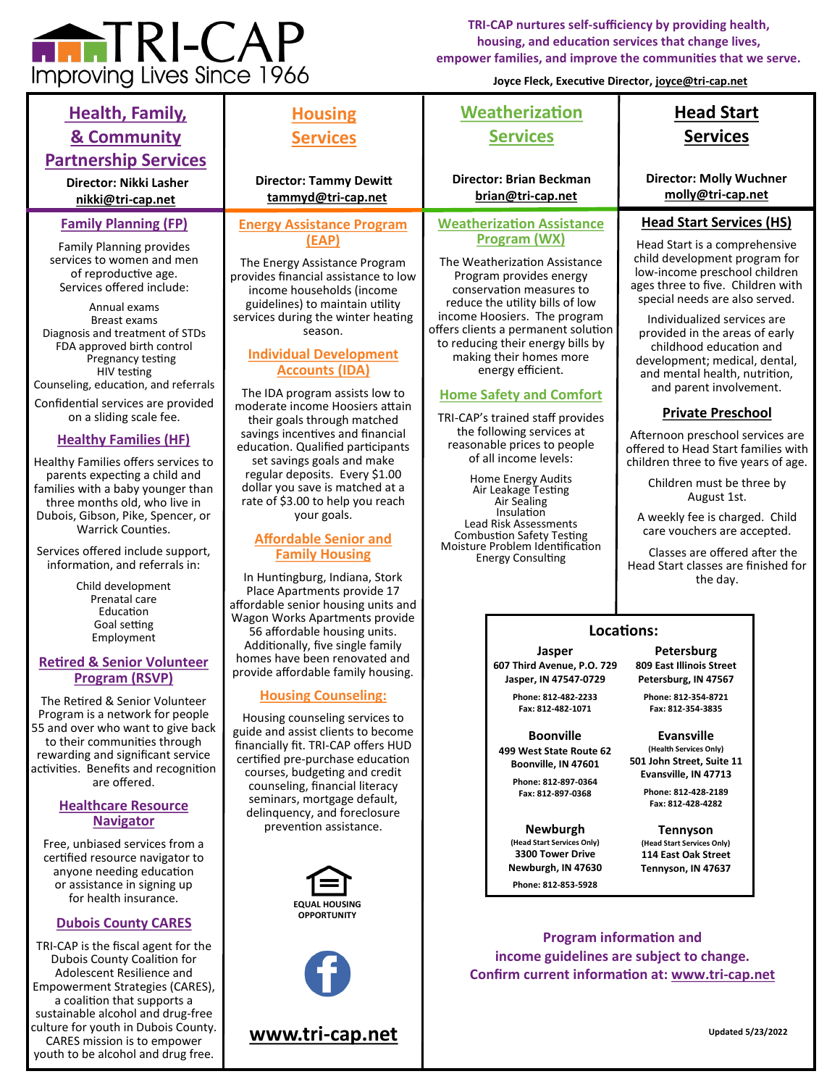

CARES mission is to empower youth to be alcohol and drug free.

**TRI-CAP nurtures self-sufficiency by providing health, housing, and education services that change lives, empower families, and improve the communities that we serve.**

**Joyce Fleck, Executive Director, [joyce@tri](mailto:joyce@tri-cap.net)-cap.net**

| <b>Health, Family,</b><br><b>&amp; Community</b>                                                                                                                                                                                                                                                                                                                                                                                                                                                                                                                                    | <b>Housing</b><br><b>Services</b>                                                                                                                                                                                                                                                                                                                                                                                                                                                                                                                                                                                 | Weatherization<br><b>Services</b>                                                                                                                                                                                                                                                                                                                                                                                                                                                                                                                              | <b>Head Start</b><br><b>Services</b>                                                                                                                                                                                                                                                                                                                                                                                                                                                                                                                                                          |
|-------------------------------------------------------------------------------------------------------------------------------------------------------------------------------------------------------------------------------------------------------------------------------------------------------------------------------------------------------------------------------------------------------------------------------------------------------------------------------------------------------------------------------------------------------------------------------------|-------------------------------------------------------------------------------------------------------------------------------------------------------------------------------------------------------------------------------------------------------------------------------------------------------------------------------------------------------------------------------------------------------------------------------------------------------------------------------------------------------------------------------------------------------------------------------------------------------------------|----------------------------------------------------------------------------------------------------------------------------------------------------------------------------------------------------------------------------------------------------------------------------------------------------------------------------------------------------------------------------------------------------------------------------------------------------------------------------------------------------------------------------------------------------------------|-----------------------------------------------------------------------------------------------------------------------------------------------------------------------------------------------------------------------------------------------------------------------------------------------------------------------------------------------------------------------------------------------------------------------------------------------------------------------------------------------------------------------------------------------------------------------------------------------|
| <b>Partnership Services</b><br><b>Director: Nikki Lasher</b><br>nikki@tri-cap.net                                                                                                                                                                                                                                                                                                                                                                                                                                                                                                   | <b>Director: Tammy Dewitt</b><br>tammyd@tri-cap.net                                                                                                                                                                                                                                                                                                                                                                                                                                                                                                                                                               | <b>Director: Brian Beckman</b><br>brian@tri-cap.net                                                                                                                                                                                                                                                                                                                                                                                                                                                                                                            | <b>Director: Molly Wuchner</b><br>molly@tri-cap.net                                                                                                                                                                                                                                                                                                                                                                                                                                                                                                                                           |
| <b>Family Planning (FP)</b><br><b>Family Planning provides</b><br>services to women and men<br>of reproductive age.<br>Services offered include:<br>Annual exams<br><b>Breast exams</b><br>Diagnosis and treatment of STDs<br>FDA approved birth control<br>Pregnancy testing<br>HIV testing<br>Counseling, education, and referrals<br>Confidential services are provided<br>on a sliding scale fee.<br><b>Healthy Families (HF)</b><br>Healthy Families offers services to<br>parents expecting a child and<br>families with a baby younger than<br>three months old, who live in | <b>Energy Assistance Program</b><br>(EAP)<br>The Energy Assistance Program<br>provides financial assistance to low<br>income households (income<br>guidelines) to maintain utility<br>services during the winter heating<br>season.<br><b>Individual Development</b><br><b>Accounts (IDA)</b><br>The IDA program assists low to<br>moderate income Hoosiers attain<br>their goals through matched<br>savings incentives and financial<br>education. Qualified participants<br>set savings goals and make<br>regular deposits. Every \$1.00<br>dollar you save is matched at a<br>rate of \$3.00 to help you reach | <b>Weatherization Assistance</b><br>Program (WX)<br>The Weatherization Assistance<br>Program provides energy<br>conservation measures to<br>reduce the utility bills of low<br>income Hoosiers. The program<br>offers clients a permanent solution<br>to reducing their energy bills by<br>making their homes more<br>energy efficient.<br><b>Home Safety and Comfort</b><br>TRI-CAP's trained staff provides<br>the following services at<br>reasonable prices to people<br>of all income levels:<br>Home Energy Audits<br>Air Leakage Testing<br>Air Sealing | <b>Head Start Services (HS)</b><br>Head Start is a comprehensive<br>child development program for<br>low-income preschool children<br>ages three to five. Children with<br>special needs are also served.<br>Individualized services are<br>provided in the areas of early<br>childhood education and<br>development; medical, dental,<br>and mental health, nutrition,<br>and parent involvement.<br><b>Private Preschool</b><br>Afternoon preschool services are<br>offered to Head Start families with<br>children three to five years of age.<br>Children must be three by<br>August 1st. |
| Dubois, Gibson, Pike, Spencer, or<br><b>Warrick Counties.</b><br>Services offered include support,<br>information, and referrals in:<br>Child development<br>Prenatal care<br>Education<br>Goal setting<br>Employment<br><b>Retired &amp; Senior Volunteer</b><br><b>Program (RSVP)</b>                                                                                                                                                                                                                                                                                             | your goals.<br><b>Affordable Senior and</b><br><b>Family Housing</b><br>In Huntingburg, Indiana, Stork<br>Place Apartments provide 17<br>affordable senior housing units and<br>Wagon Works Apartments provide<br>56 affordable housing units.<br>Additionally, five single family<br>homes have been renovated and<br>provide affordable family housing.                                                                                                                                                                                                                                                         | Insulation<br>Lead Risk Assessments<br><b>Combustion Safety Testing</b><br>Moisture Problem Identification<br><b>Energy Consulting</b><br>Jasper<br>607 Third Avenue. P.O. 729<br>Jasper, IN 47547-0729                                                                                                                                                                                                                                                                                                                                                        | A weekly fee is charged. Child<br>care vouchers are accepted.<br>Classes are offered after the<br>Head Start classes are finished for<br>the day.<br>Locations:<br>Petersburg<br>809 East Illinois Street<br>Petersburg, IN 47567                                                                                                                                                                                                                                                                                                                                                             |
| The Retired & Senior Volunteer<br>Program is a network for people<br>55 and over who want to give back<br>to their communities through<br>rewarding and significant service<br>activities. Benefits and recognition<br>are offered.<br><b>Healthcare Resource</b><br><b>Navigator</b><br>Free, unbiased services from a<br>certified resource navigator to<br>anyone needing education<br>or assistance in signing up<br>for health insurance.                                                                                                                                      | <b>Housing Counseling:</b><br>Housing counseling services to<br>guide and assist clients to become<br>financially fit. TRI-CAP offers HUD<br>certified pre-purchase education<br>courses, budgeting and credit<br>counseling, financial literacy<br>seminars, mortgage default,<br>delinquency, and foreclosure<br>prevention assistance.<br><b>EQUAL HOUSING</b>                                                                                                                                                                                                                                                 | Phone: 812-482-2233<br>Fax: 812-482-1071<br><b>Boonville</b><br>499 West State Route 62<br>Boonville, IN 47601<br>Phone: 812-897-0364<br>Fax: 812-897-0368<br><b>Newburgh</b><br>(Head Start Services Only)<br>3300 Tower Drive<br>Newburgh, IN 47630<br>Phone: 812-853-5928                                                                                                                                                                                                                                                                                   | Phone: 812-354-8721<br>Fax: 812-354-3835<br><b>Evansville</b><br>(Health Services Only)<br>501 John Street, Suite 11<br>Evansville, IN 47713<br>Phone: 812-428-2189<br>Fax: 812-428-4282<br><b>Tennyson</b><br>(Head Start Services Only)<br>114 East Oak Street<br>Tennyson, IN 47637                                                                                                                                                                                                                                                                                                        |
| <b>Dubois County CARES</b><br>TRI-CAP is the fiscal agent for the<br>Dubois County Coalition for<br>Adolescent Resilience and<br>Empowerment Strategies (CARES),<br>a coalition that supports a<br>sustainable alcohol and drug-free<br>culture for youth in Dubois County.<br>CARES mission is to empower                                                                                                                                                                                                                                                                          | <b>OPPORTUNITY</b><br>www.tri-cap.net                                                                                                                                                                                                                                                                                                                                                                                                                                                                                                                                                                             |                                                                                                                                                                                                                                                                                                                                                                                                                                                                                                                                                                | <b>Program information and</b><br>income guidelines are subject to change.<br>Confirm current information at: www.tri-cap.net<br><b>Updated 5/23/2022</b>                                                                                                                                                                                                                                                                                                                                                                                                                                     |